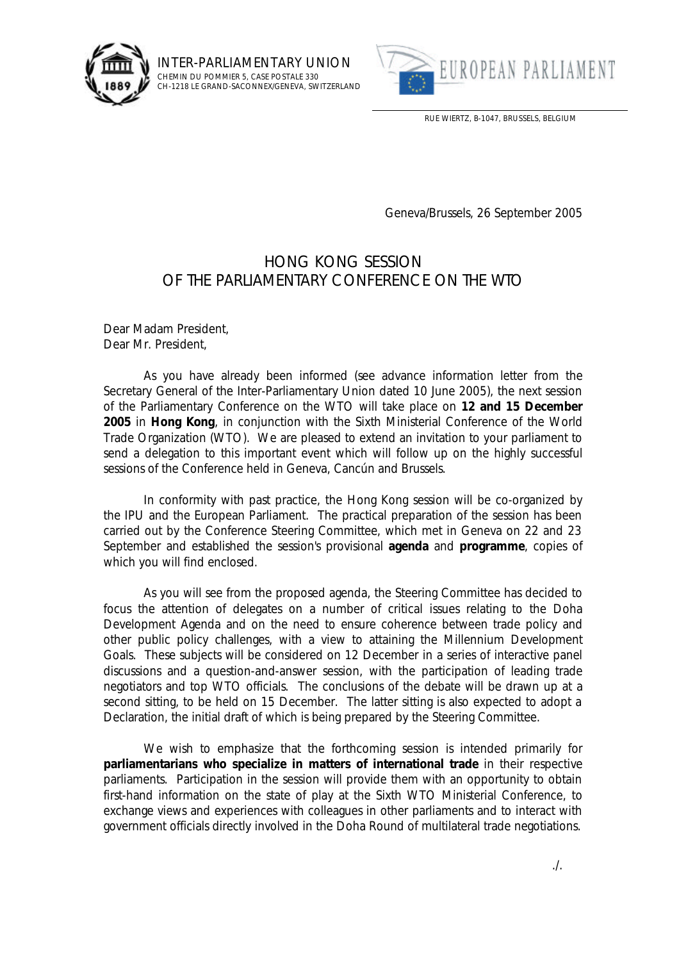

INTER-PARLIAMENTARY UNION CHEMIN DU POMMIER 5, CASE POSTALE 330 CH-1218 LE GRAND-SACONNEX/GENEVA, SWITZERLAND



RUE WIERTZ, B-1047, BRUSSELS, BELGIUM

Geneva/Brussels, 26 September 2005

## HONG KONG SESSION OF THE PARLIAMENTARY CONFERENCE ON THE WTO

Dear Madam President, Dear Mr. President,

As you have already been informed (see advance information letter from the Secretary General of the Inter-Parliamentary Union dated 10 June 2005), the next session of the Parliamentary Conference on the WTO will take place on **12 and 15 December 2005** in **Hong Kong**, in conjunction with the Sixth Ministerial Conference of the World Trade Organization (WTO). We are pleased to extend an invitation to your parliament to send a delegation to this important event which will follow up on the highly successful sessions of the Conference held in Geneva, Cancún and Brussels.

In conformity with past practice, the Hong Kong session will be co-organized by the IPU and the European Parliament. The practical preparation of the session has been carried out by the Conference Steering Committee, which met in Geneva on 22 and 23 September and established the session's provisional **agenda** and **programme**, copies of which you will find enclosed.

As you will see from the proposed agenda, the Steering Committee has decided to focus the attention of delegates on a number of critical issues relating to the Doha Development Agenda and on the need to ensure coherence between trade policy and other public policy challenges, with a view to attaining the Millennium Development Goals. These subjects will be considered on 12 December in a series of interactive panel discussions and a question-and-answer session, with the participation of leading trade negotiators and top WTO officials. The conclusions of the debate will be drawn up at a second sitting, to be held on 15 December. The latter sitting is also expected to adopt a Declaration, the initial draft of which is being prepared by the Steering Committee.

We wish to emphasize that the forthcoming session is intended primarily for **parliamentarians who specialize in matters of international trade** in their respective parliaments. Participation in the session will provide them with an opportunity to obtain first-hand information on the state of play at the Sixth WTO Ministerial Conference, to exchange views and experiences with colleagues in other parliaments and to interact with government officials directly involved in the Doha Round of multilateral trade negotiations.